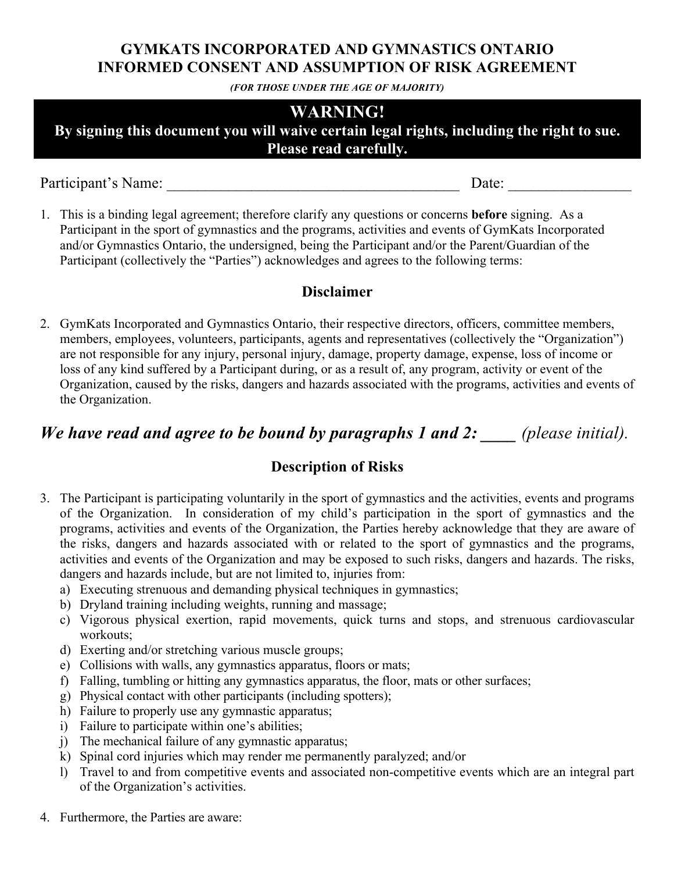### **GYMKATS INCORPORATED AND GYMNASTICS ONTARIO INFORMED CONSENT AND ASSUMPTION OF RISK AGREEMENT**

*(FOR THOSE UNDER THE AGE OF MAJORITY)*

## **WARNING!**

**By signing this document you will waive certain legal rights, including the right to sue. Please read carefully.**

Participant's Name: \_\_\_\_\_\_\_\_\_\_\_\_\_\_\_\_\_\_\_\_\_\_\_\_\_\_\_\_\_\_\_\_\_\_\_\_\_\_ Date: \_\_\_\_\_\_\_\_\_\_\_\_\_\_\_\_

1. This is a binding legal agreement; therefore clarify any questions or concerns **before** signing. As a Participant in the sport of gymnastics and the programs, activities and events of GymKats Incorporated and/or Gymnastics Ontario, the undersigned, being the Participant and/or the Parent/Guardian of the Participant (collectively the "Parties") acknowledges and agrees to the following terms:

## **Disclaimer**

2. GymKats Incorporated and Gymnastics Ontario, their respective directors, officers, committee members, members, employees, volunteers, participants, agents and representatives (collectively the "Organization") are not responsible for any injury, personal injury, damage, property damage, expense, loss of income or loss of any kind suffered by a Participant during, or as a result of, any program, activity or event of the Organization, caused by the risks, dangers and hazards associated with the programs, activities and events of the Organization.

# *We have read and agree to be bound by paragraphs 1 and 2: \_\_\_\_ (please initial).*

## **Description of Risks**

- 3. The Participant is participating voluntarily in the sport of gymnastics and the activities, events and programs of the Organization. In consideration of my child's participation in the sport of gymnastics and the programs, activities and events of the Organization, the Parties hereby acknowledge that they are aware of the risks, dangers and hazards associated with or related to the sport of gymnastics and the programs, activities and events of the Organization and may be exposed to such risks, dangers and hazards. The risks, dangers and hazards include, but are not limited to, injuries from:
	- a) Executing strenuous and demanding physical techniques in gymnastics;
	- b) Dryland training including weights, running and massage;
	- c) Vigorous physical exertion, rapid movements, quick turns and stops, and strenuous cardiovascular workouts;
	- d) Exerting and/or stretching various muscle groups;
	- e) Collisions with walls, any gymnastics apparatus, floors or mats;
	- f) Falling, tumbling or hitting any gymnastics apparatus, the floor, mats or other surfaces;
	- g) Physical contact with other participants (including spotters);
	- h) Failure to properly use any gymnastic apparatus;
	- i) Failure to participate within one's abilities;
	- j) The mechanical failure of any gymnastic apparatus;
	- k) Spinal cord injuries which may render me permanently paralyzed; and/or
	- l) Travel to and from competitive events and associated non-competitive events which are an integral part of the Organization's activities.
- 4. Furthermore, the Parties are aware: